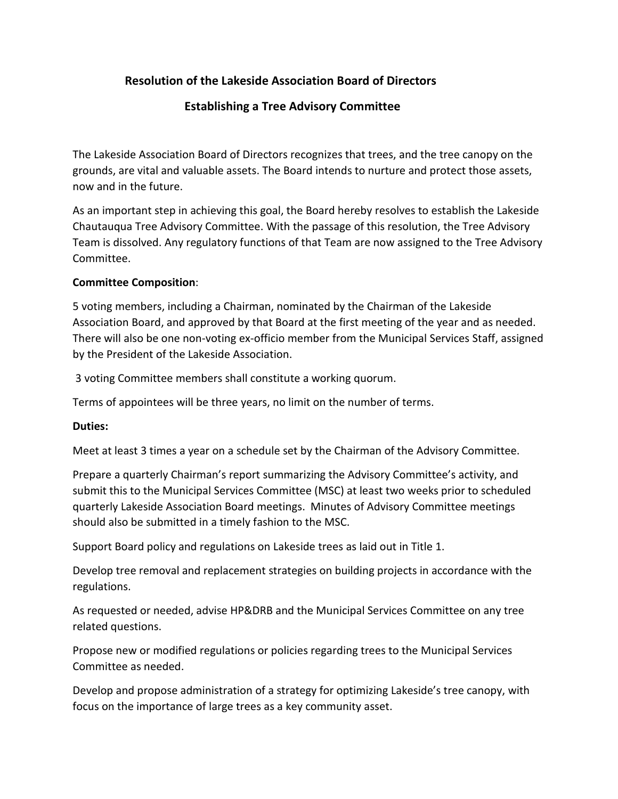## **Resolution of the Lakeside Association Board of Directors**

## **Establishing a Tree Advisory Committee**

The Lakeside Association Board of Directors recognizes that trees, and the tree canopy on the grounds, are vital and valuable assets. The Board intends to nurture and protect those assets, now and in the future.

As an important step in achieving this goal, the Board hereby resolves to establish the Lakeside Chautauqua Tree Advisory Committee. With the passage of this resolution, the Tree Advisory Team is dissolved. Any regulatory functions of that Team are now assigned to the Tree Advisory Committee.

## **Committee Composition**:

5 voting members, including a Chairman, nominated by the Chairman of the Lakeside Association Board, and approved by that Board at the first meeting of the year and as needed. There will also be one non-voting ex-officio member from the Municipal Services Staff, assigned by the President of the Lakeside Association.

3 voting Committee members shall constitute a working quorum.

Terms of appointees will be three years, no limit on the number of terms.

## **Duties:**

Meet at least 3 times a year on a schedule set by the Chairman of the Advisory Committee.

Prepare a quarterly Chairman's report summarizing the Advisory Committee's activity, and submit this to the Municipal Services Committee (MSC) at least two weeks prior to scheduled quarterly Lakeside Association Board meetings. Minutes of Advisory Committee meetings should also be submitted in a timely fashion to the MSC.

Support Board policy and regulations on Lakeside trees as laid out in Title 1.

Develop tree removal and replacement strategies on building projects in accordance with the regulations.

As requested or needed, advise HP&DRB and the Municipal Services Committee on any tree related questions.

Propose new or modified regulations or policies regarding trees to the Municipal Services Committee as needed.

Develop and propose administration of a strategy for optimizing Lakeside's tree canopy, with focus on the importance of large trees as a key community asset.